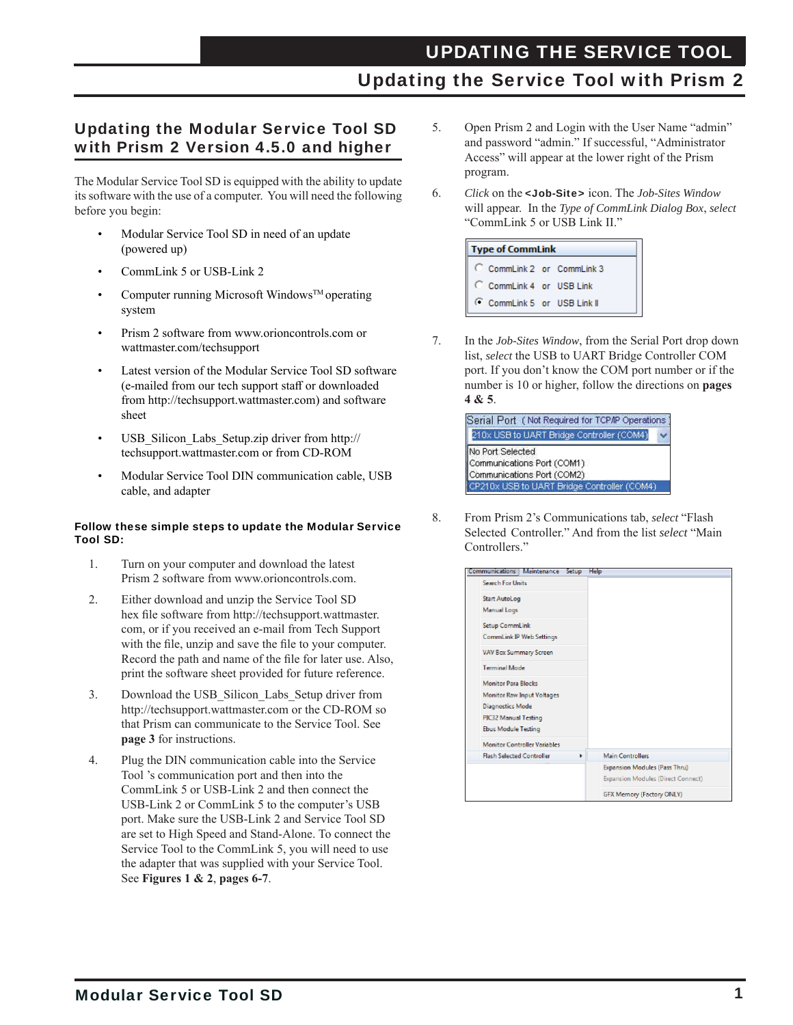### Updating the Service Tool with Prism 2

#### Updating the Modular Service Tool SD with Prism 2 Version 4.5.0 and higher

The Modular Service Tool SD is equipped with the ability to update its software with the use of a computer. You will need the following before you begin:

- Modular Service Tool SD in need of an update (powered up)
- CommLink 5 or USB-Link 2
- Computer running Microsoft Windows<sup>TM</sup> operating system
- Prism 2 software from www.orioncontrols.com or wattmaster.com/techsupport
- Latest version of the Modular Service Tool SD software (e-mailed from our tech support staff or downloaded from http://techsupport.wattmaster.com) and software sheet
- USB\_Silicon\_Labs\_Setup.zip driver from http:// techsupport.wattmaster.com or from CD-ROM
- Modular Service Tool DIN communication cable, USB cable, and adapter

#### Follow these simple steps to update the Modular Service Tool SD:

- 1. Turn on your computer and download the latest Prism 2 software from www.orioncontrols.com.
- 2. Either download and unzip the Service Tool SD hex file software from http://techsupport.wattmaster. com, or if you received an e-mail from Tech Support with the file, unzip and save the file to your computer. Record the path and name of the file for later use. Also, print the software sheet provided for future reference.
- 3. Download the USB Silicon Labs Setup driver from http://techsupport.wattmaster.com or the CD-ROM so that Prism can communicate to the Service Tool. See **page 3** for instructions.
- 4. Plug the DIN communication cable into the Service Tool 's communication port and then into the CommLink 5 or USB-Link 2 and then connect the USB-Link 2 or CommLink 5 to the computer's USB port. Make sure the USB-Link 2 and Service Tool SD are set to High Speed and Stand-Alone. To connect the Service Tool to the CommLink 5, you will need to use the adapter that was supplied with your Service Tool. See **Figures 1 & 2**, **pages 6-7**.
- 5. Open Prism 2 and Login with the User Name "admin" and password "admin." If successful, "Administrator Access" will appear at the lower right of the Prism program.
- 6. *Click* on the <Job-Site> icon. The *Job-Sites Window* will appear. In the *Type of CommLink Dialog Box*, *select* "CommLink 5 or USB Link II."



7. In the *Job-Sites Window*, from the Serial Port drop down list, *select* the USB to UART Bridge Controller COM port. If you don't know the COM port number or if the number is 10 or higher, follow the directions on **pages 4 & 5**.



8. From Prism 2's Communications tab, *select* "Flash Selected Controller." And from the list *select* "Main Controllers."

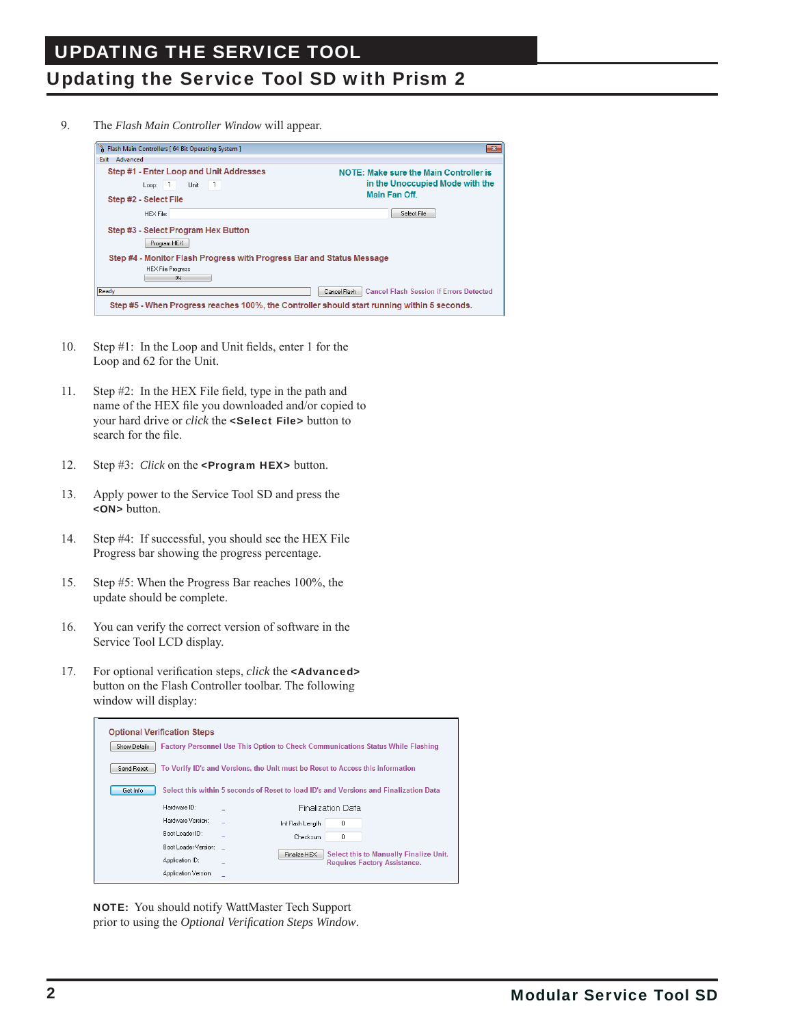# Updating the Service Tool SD with Prism 2

9. The *Flash Main Controller Window* will appear.



- 10. Step  $#1$ : In the Loop and Unit fields, enter 1 for the Loop and 62 for the Unit.
- 11. Step  $#2$ : In the HEX File field, type in the path and name of the HEX file you downloaded and/or copied to your hard drive or *click* the <Select File> button to search for the file.
- 12. Step #3: *Click* on the <Program HEX> button.
- 13. Apply power to the Service Tool SD and press the <ON> button.
- 14. Step #4: If successful, you should see the HEX File Progress bar showing the progress percentage.
- 15. Step #5: When the Progress Bar reaches 100%, the update should be complete.
- 16. You can verify the correct version of software in the Service Tool LCD display.
- 17. For optional verification steps, *click* the **<Advanced>**  button on the Flash Controller toolbar. The following window will display:

|              | <b>Optional Verification Steps</b>                                             |                   |                          |                                                                                        |
|--------------|--------------------------------------------------------------------------------|-------------------|--------------------------|----------------------------------------------------------------------------------------|
| Show Details |                                                                                |                   |                          | <b>Factory Personnel Use This Option to Check Communications Status While Flashing</b> |
| Send Reset   | To Verify ID's and Versions, the Unit must be Reset to Access this information |                   |                          |                                                                                        |
| Get Info     |                                                                                |                   |                          | Select this within 5 seconds of Reset to load ID's and Versions and Finalization Data  |
|              | Hardware ID:                                                                   |                   | <b>Finalization Data</b> |                                                                                        |
|              | Hardware Version:                                                              | Int Flash Length: | 0                        |                                                                                        |
|              | Boot Loader ID:                                                                | Checksum:         | n                        |                                                                                        |
|              | Boot Loader Version:                                                           | Finalize HEX      |                          | Select this to Manually Finalize Unit.                                                 |
|              | Application ID:                                                                |                   |                          | <b>Requires Factory Assistance.</b>                                                    |
|              | Application Version:                                                           |                   |                          |                                                                                        |

 NOTE: You should notify WattMaster Tech Support prior to using the *Optional Verification Steps Window*.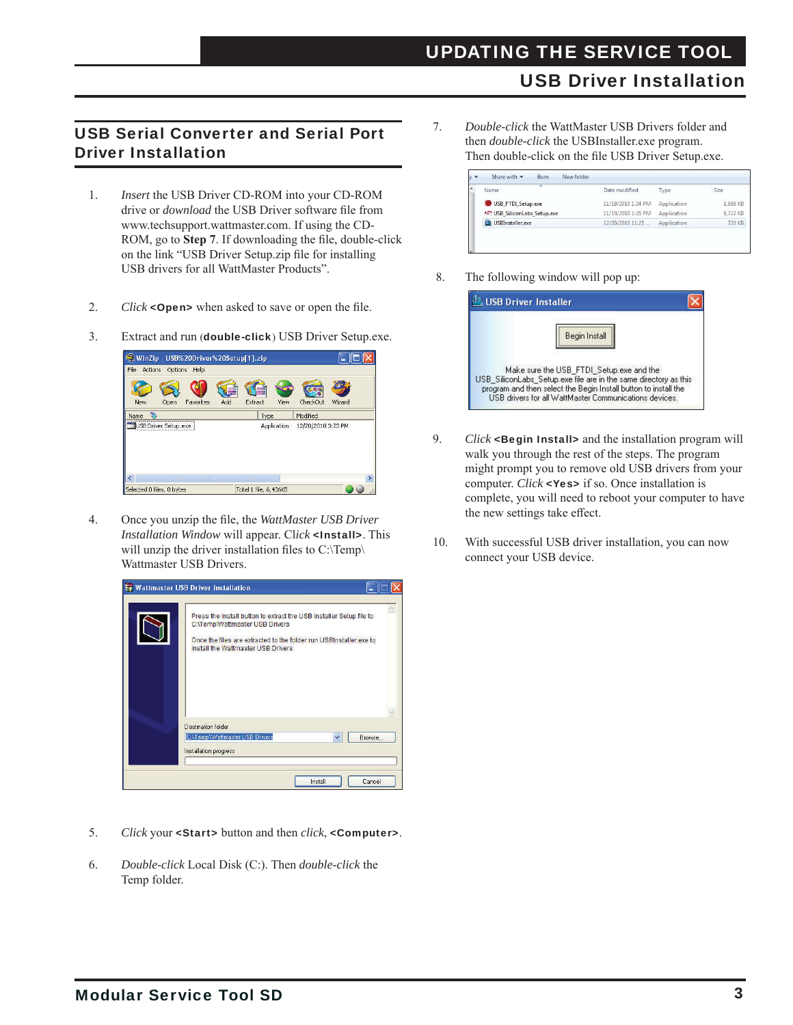### USB Driver Installation

#### USB Serial Converter and Serial Port Driver Installation

- 1. *Insert* the USB Driver CD-ROM into your CD-ROM drive or *download* the USB Driver software file from www.techsupport.wattmaster.com. If using the CD- ROM, go to Step 7. If downloading the file, double-click on the link "USB Driver Setup.zip file for installing USB drivers for all WattMaster Products".
- 2. *Click* <**Open**> when asked to save or open the file.
- 3. Extract and run (double-click) USB Driver Setup.exe.



4. Once you unzip the file, the *WattMaster USB Driver Installation Window* will appear. Cl*ick* <Install>. This will unzip the driver installation files to  $C:\Temp\$ Wattmaster USB Drivers.



- 5. *Click* your <Start> button and then *click*, <Computer>.
- 6. *Double-click* Local Disk (C:). Then *double-click* the Temp folder.

7. *Double-click* the WattMaster USB Drivers folder and then *double-click* the USBInstaller.exe program. Then double-click on the file USB Driver Setup.exe.

| ×<br>Name                    | Date modified      | Type        | Size     |
|------------------------------|--------------------|-------------|----------|
| USB_FTDI_Setup.exe           | 11/19/2010 1:34 PM | Application | 1,688 KB |
| 45 USB SiliconLabs Setup.exe | 11/19/2010 1:35 PM | Application | 6,722 KB |
| USBInstaller.exe             | 12/20/2010 11:25   | Application | 720 KB   |

8. The following window will pop up:

| USB Driver Installer |                                                                                                                                                                                                                                           |
|----------------------|-------------------------------------------------------------------------------------------------------------------------------------------------------------------------------------------------------------------------------------------|
|                      | Begin Install                                                                                                                                                                                                                             |
|                      | Make sure the USB FTDI Setup.exe and the<br>USB SiliconLabs Setuplexe file are in the same directory as this<br>program and then select the Begin Install button to install the<br>USB drivers for all WattMaster Communications devices. |

- 9. *Click* <**Begin Install>** and the installation program will walk you through the rest of the steps. The program might prompt you to remove old USB drivers from your computer. *Click* <Yes> if so. Once installation is complete, you will need to reboot your computer to have the new settings take effect.
- 10. With successful USB driver installation, you can now connect your USB device.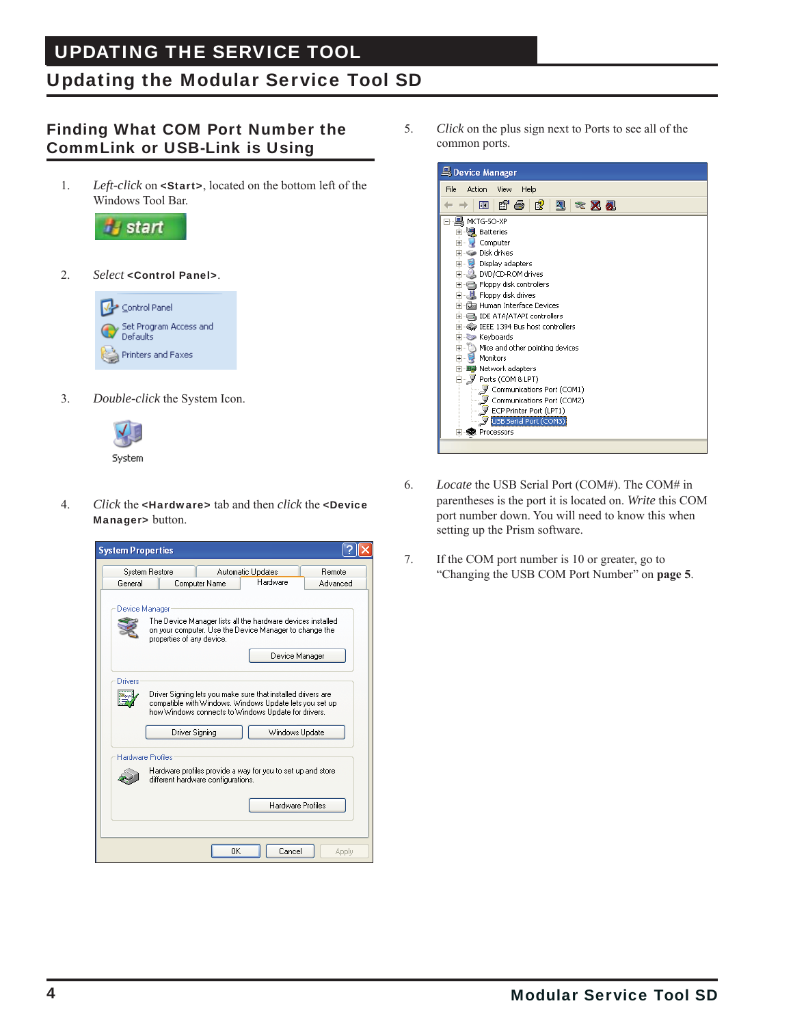## Updating the Modular Service Tool SD

#### Finding What COM Port Number the CommLink or USB-Link is Using

1. *Left-click* on <Start>, located on the bottom left of the Windows Tool Bar.



2. *Select* <Control Panel>.



3. *Double-click* the System Icon.



4. *Click* the <Hardware> tab and then *click* the <Device Manager> button.



5. *Click* on the plus sign next to Ports to see all of the common ports.



- 6. *Locate* the USB Serial Port (COM#). The COM# in parentheses is the port it is located on. *Write* this COM port number down. You will need to know this when setting up the Prism software.
- 7. If the COM port number is 10 or greater, go to "Changing the USB COM Port Number" on **page 5**.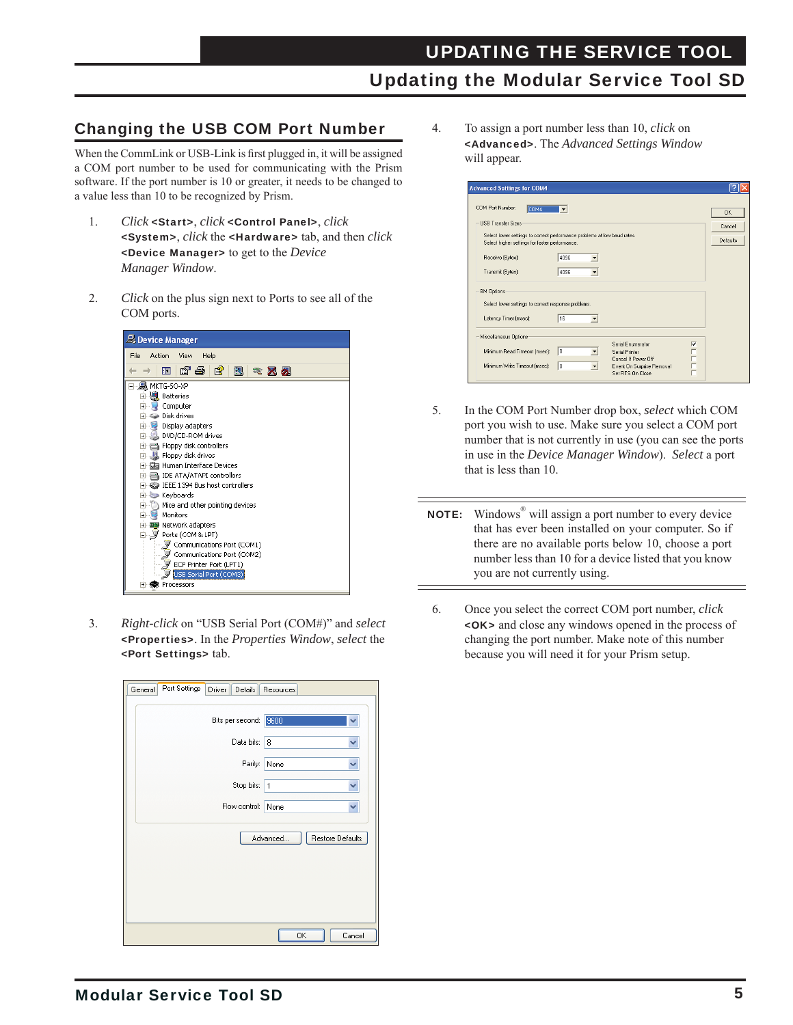#### Changing the USB COM Port Number

When the CommLink or USB-Link is first plugged in, it will be assigned a COM port number to be used for communicating with the Prism software. If the port number is 10 or greater, it needs to be changed to a value less than 10 to be recognized by Prism.

- 1. *Click* <Start>, *click* <Control Panel>, *click* <System>, *click* the <Hardware> tab, and then *click* <Device Manager> to get to the *Device Manager Window*.
- 2. *Click* on the plus sign next to Ports to see all of the COM ports.



3. *Right-click* on "USB Serial Port (COM#)" and *select* <Properties>. In the *Properties Window*, *select* the <Port Settings> tab.

| Port Settings<br>Driver<br>General | Details<br>Resources  |                  |
|------------------------------------|-----------------------|------------------|
|                                    | Bits per second: 9600 |                  |
|                                    | Data bits: 8          | v                |
|                                    | Parity:<br>None       | v                |
|                                    | Stop bits:   1        | Ÿ                |
|                                    | Flow control:<br>None | Ÿ                |
|                                    | Advanced              | Restore Defaults |
|                                    | OK                    | Cancel           |

4. To assign a port number less than 10, *click* on <Advanced>. The *Advanced Settings Window* will appear.

| Select lower settings to correct performance problems at low baud rates. | Cancel<br>Defaults                                                       |
|--------------------------------------------------------------------------|--------------------------------------------------------------------------|
|                                                                          |                                                                          |
|                                                                          |                                                                          |
|                                                                          |                                                                          |
| $\overline{\phantom{a}}$                                                 |                                                                          |
|                                                                          |                                                                          |
|                                                                          |                                                                          |
|                                                                          |                                                                          |
|                                                                          | $\overline{\mathbf{v}}$                                                  |
|                                                                          | Select lower settings to correct response problems.<br>Serial Enumerator |

- 5. In the COM Port Number drop box, *select* which COM port you wish to use. Make sure you select a COM port number that is not currently in use (you can see the ports in use in the *Device Manager Window*). *Select* a port that is less than 10.
- NOTE: Windows<sup>®</sup> will assign a port number to every device that has ever been installed on your computer. So if there are no available ports below 10, choose a port number less than 10 for a device listed that you know you are not currently using.
- 6. Once you select the correct COM port number, *click*  <OK> and close any windows opened in the process of changing the port number. Make note of this number because you will need it for your Prism setup.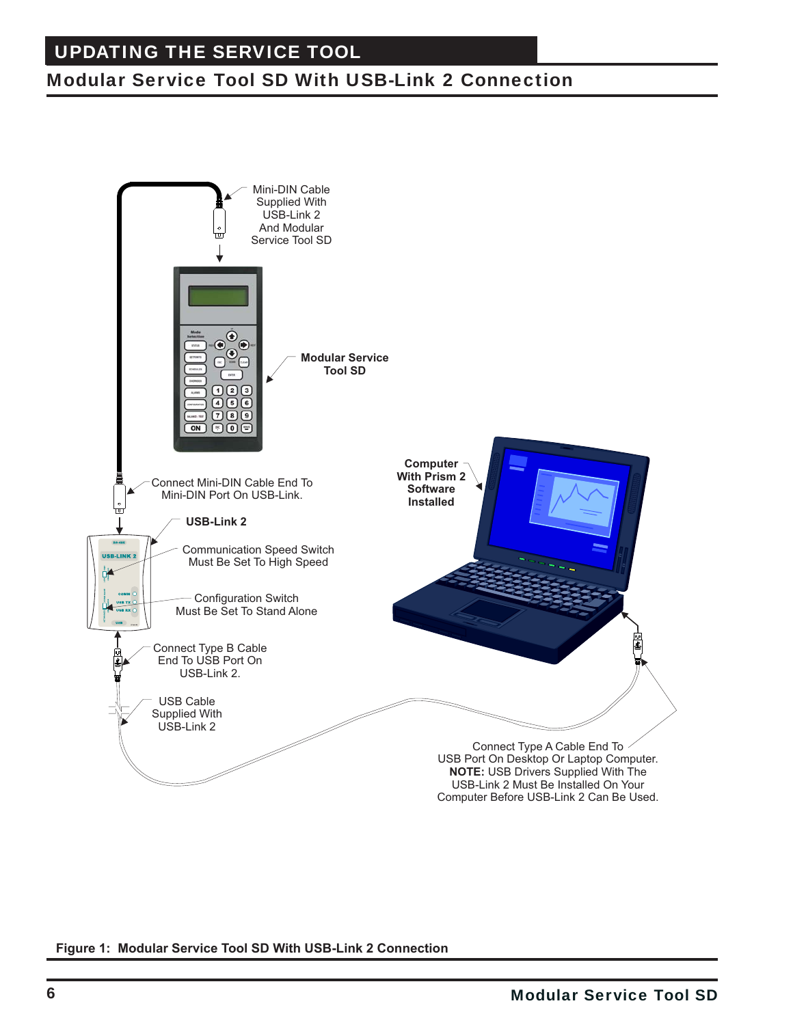## Modular Service Tool SD With USB-Link 2 Connection



#### **Figure 1: Modular Service Tool SD With USB-Link 2 Connection**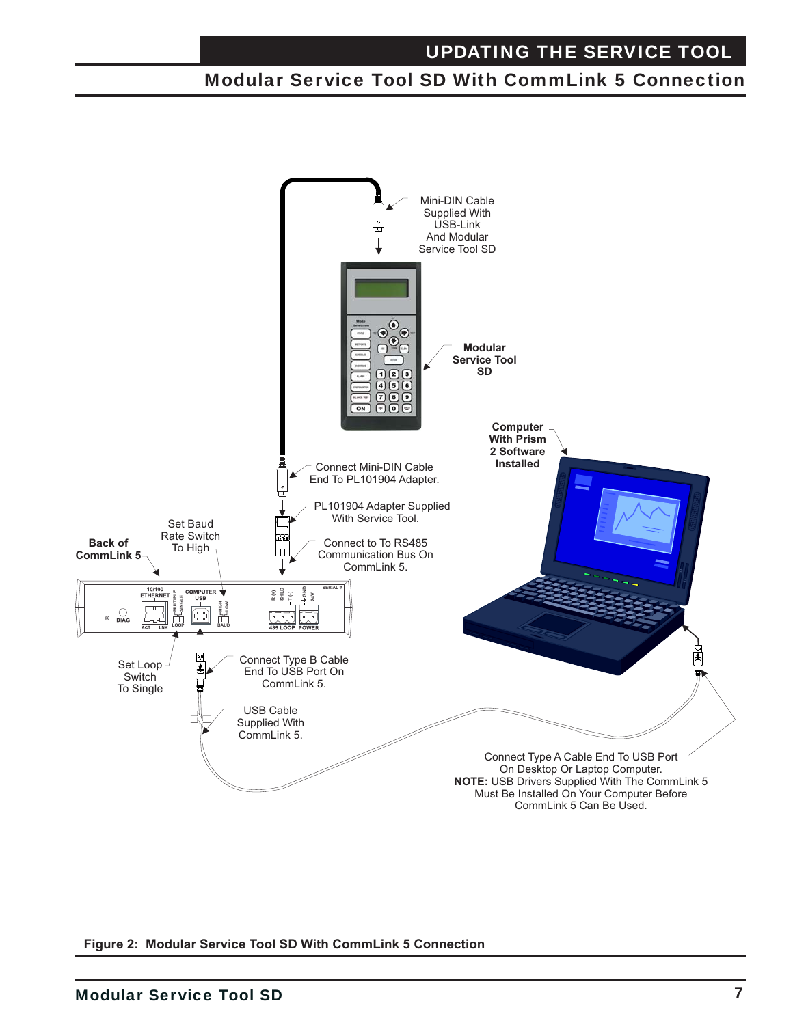### Modular Service Tool SD With CommLink 5 Connection



**Figure 2: Modular Service Tool SD With CommLink 5 Connection**